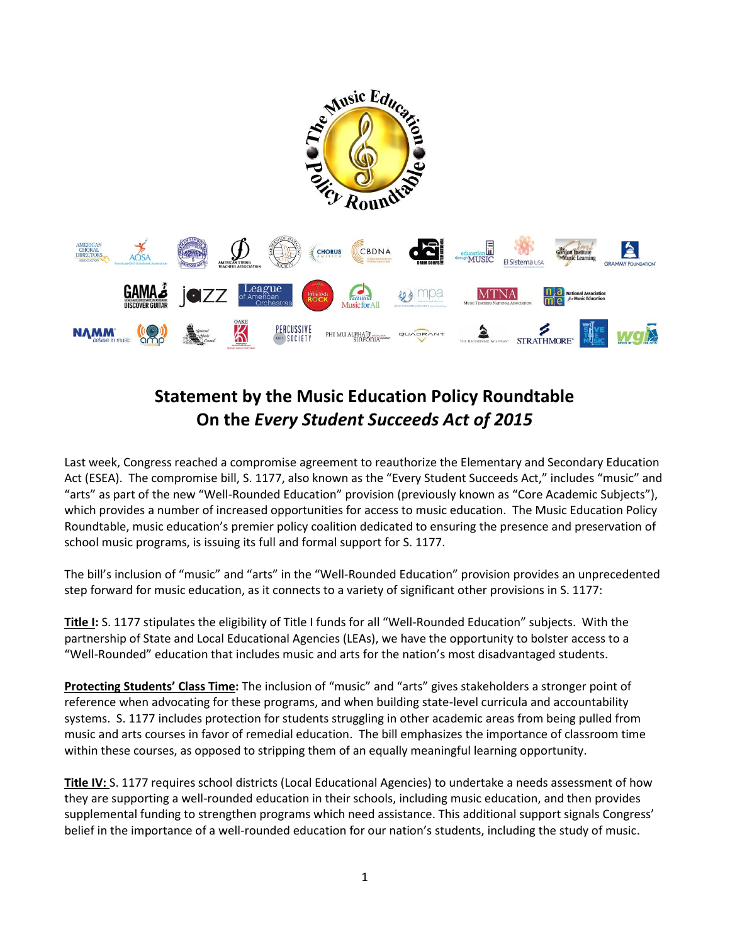

## **Statement by the Music Education Policy Roundtable On the** *Every Student Succeeds Act of 2015*

Last week, Congress reached a compromise agreement to reauthorize the Elementary and Secondary Education Act (ESEA). The compromise bill, S. 1177, also known as the "Every Student Succeeds Act," includes "music" and "arts" as part of the new "Well-Rounded Education" provision (previously known as "Core Academic Subjects"), which provides a number of increased opportunities for access to music education. The Music Education Policy Roundtable, music education's premier policy coalition dedicated to ensuring the presence and preservation of school music programs, is issuing its full and formal support for S. 1177.

The bill's inclusion of "music" and "arts" in the "Well-Rounded Education" provision provides an unprecedented step forward for music education, as it connects to a variety of significant other provisions in S. 1177:

**Title I:** S. 1177 stipulates the eligibility of Title I funds for all "Well-Rounded Education" subjects. With the partnership of State and Local Educational Agencies (LEAs), we have the opportunity to bolster access to a "Well-Rounded" education that includes music and arts for the nation's most disadvantaged students.

**Protecting Students' Class Time:** The inclusion of "music" and "arts" gives stakeholders a stronger point of reference when advocating for these programs, and when building state-level curricula and accountability systems. S. 1177 includes protection for students struggling in other academic areas from being pulled from music and arts courses in favor of remedial education. The bill emphasizes the importance of classroom time within these courses, as opposed to stripping them of an equally meaningful learning opportunity.

**Title IV:** S. 1177 requires school districts (Local Educational Agencies) to undertake a needs assessment of how they are supporting a well-rounded education in their schools, including music education, and then provides supplemental funding to strengthen programs which need assistance. This additional support signals Congress' belief in the importance of a well-rounded education for our nation's students, including the study of music.